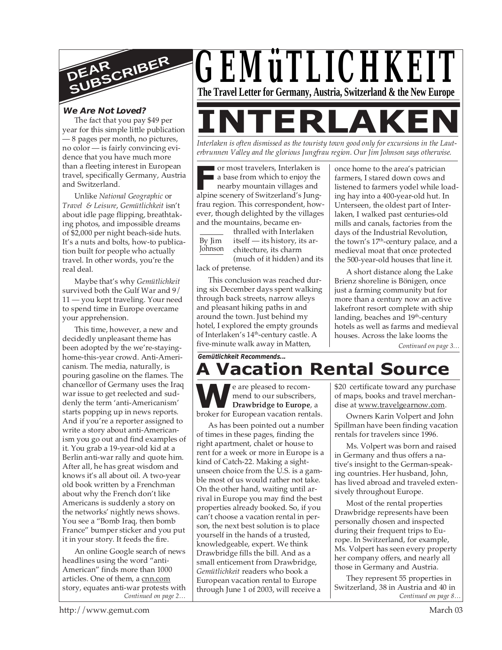

# **We Are Not Loved?**

The fact that you pay \$49 per year for this simple little publication — 8 pages per month, no pictures, no color — is fairly convincing evidence that you have much more than a fleeting interest in European travel, specifically Germany, Austria and Switzerland.

Unlike *National Geographic* or *Travel & Leisure*, *Gemütlichkeit* isn't about idle page flipping, breathtaking photos, and impossible dreams of \$2,000 per night beach-side huts. It's a nuts and bolts, how-to publication built for people who actually travel. In other words, you're the real deal.

Maybe that's why *Gemütlichkeit* survived both the Gulf War and 9/ 11 — you kept traveling. Your need to spend time in Europe overcame your apprehension.

This time, however, a new and decidedly unpleasant theme has been adopted by the we're-stayinghome-this-year crowd. Anti-Americanism. The media, naturally, is pouring gasoline on the flames. The chancellor of Germany uses the Iraq war issue to get reelected and suddenly the term 'anti-Americanism' starts popping up in news reports. And if you're a reporter assigned to write a story about anti-Americanism you go out and find examples of it. You grab a 19-year-old kid at a Berlin anti-war rally and quote him. After all, he has great wisdom and knows it's all about oil. A two-year old book written by a Frenchman about why the French don't like Americans is suddenly a story on the networks' nightly news shows. You see a "Bomb Iraq, then bomb France" bumper sticker and you put it in your story. It feeds the fire.

*Continued on page 2…* An online Google search of news headlines using the word "anti-American" finds more than 1000 articles. One of them, a cnn.com story, equates anti-war protests with



*Interlaken is often dismissed as the touristy town good only for excursions in the Lauterbrunnen Valley and the glorious Jungfrau region. Our Jim Johnson says otherwise.*

or most travelers, Interlaken is a base from which to enjoy the

Frame or most travelers, Interlaken is<br>
a base from which to enjoy the<br>
nearby mountain villages and<br>
alpine scenery of Switzerland's Jungnearby mountain villages and frau region. This correspondent, however, though delighted by the villages and the mountains, became en-

By Jim Johnson

thralled with Interlaken itself — its history, its architecture, its charm (much of it hidden) and its

lack of pretense.

This conclusion was reached during six December days spent walking through back streets, narrow alleys and pleasant hiking paths in and around the town. Just behind my hotel, I explored the empty grounds of Interlaken's 14<sup>th</sup>-century castle. A five-minute walk away in Matten,

*Gemütlichkeit Recommends...*

#### once home to the area's patrician farmers, I stared down cows and listened to farmers yodel while loading hay into a 400-year-old hut. In Unterseen, the oldest part of Interlaken, I walked past centuries-old mills and canals, factories from the days of the Industrial Revolution, the town's 17<sup>th</sup>-century palace, and a medieval moat that once protected the 500-year-old houses that line it.

A short distance along the Lake Brienz shoreline is Bönigen, once just a farming community but for more than a century now an active lakefront resort complete with ship landing, beaches and 19<sup>th</sup>-century hotels as well as farms and medieval houses. Across the lake looms the

*Continued on page 3…*

# **A Vacation Rental Source**

**W**be are pleased to recom-<br>
mend to our subscribers,<br>
broker for European vacation rentals. e are pleased to recommend to our subscribers, **Drawbridge to Europe**, a

As has been pointed out a number of times in these pages, finding the right apartment, chalet or house to rent for a week or more in Europe is a kind of Catch-22. Making a sightunseen choice from the U.S. is a gamble most of us would rather not take. On the other hand, waiting until arrival in Europe you may find the best properties already booked. So, if you can't choose a vacation rental in person, the next best solution is to place yourself in the hands of a trusted, knowledgeable, expert. We think Drawbridge fills the bill. And as a small enticement from Drawbridge, *Gemütlichkeit* readers who book a European vacation rental to Europe through June 1 of 2003, will receive a

\$20 certificate toward any purchase of maps, books and travel merchandise at www.travelgearnow.com.

Owners Karin Volpert and John Spillman have been finding vacation rentals for travelers since 1996.

Ms. Volpert was born and raised in Germany and thus offers a native's insight to the German-speaking countries. Her husband, John, has lived abroad and traveled extensively throughout Europe.

Most of the rental properties Drawbridge represents have been personally chosen and inspected during their frequent trips to Europe. In Switzerland, for example, Ms. Volpert has seen every property her company offers, and nearly all those in Germany and Austria.

*Continued on page 8…* They represent 55 properties in Switzerland, 38 in Austria and 40 in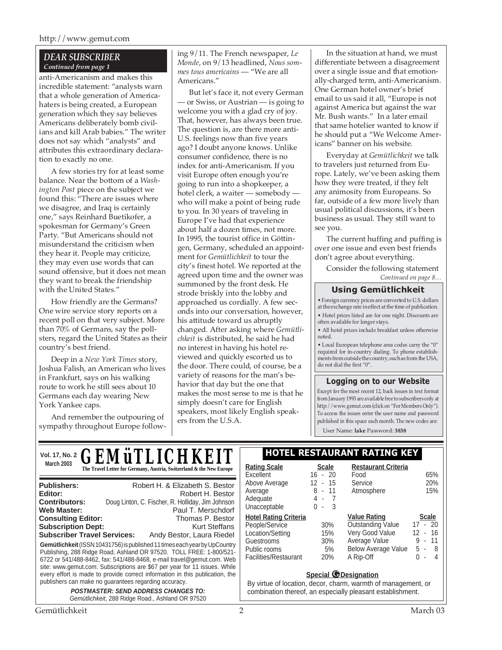### http://www.gemut.com

### *DEAR SUBSCRIBER Continued from page 1*

anti-Americanism and makes this incredible statement: "analysts warn that a whole generation of Americahaters is being created, a European generation which they say believes Americans deliberately bomb civilians and kill Arab babies." The writer does not say which "analysts" and attributes this extraordinary declaration to exactly no one.

A few stories try for at least some balance. Near the bottom of a *Washington Post* piece on the subject we found this: "There are issues where we disagree, and Iraq is certainly one," says Reinhard Buetikofer, a spokesman for Germany's Green Party. "But Americans should not misunderstand the criticism when they hear it. People may criticize, they may even use words that can sound offensive, but it does not mean they want to break the friendship with the United States."

How friendly are the Germans? One wire service story reports on a recent poll on that very subject. More than 70% of Germans, say the pollsters, regard the United States as their country's best friend.

Deep in a *New York Times* story, Joshua Falish, an American who lives in Frankfurt, says on his walking route to work he still sees about 10 Germans each day wearing New York Yankee caps.

And remember the outpouring of sympathy throughout Europe following 9/11. The French newspaper, *Le Monde*, on 9/13 headlined, *Nous sommes tous americains* — "We are all Americans."

But let's face it, not every German — or Swiss, or Austrian — is going to welcome you with a glad cry of joy. That, however, has always been true. The question is, are there more anti-U.S. feelings now than five years ago? I doubt anyone knows. Unlike consumer confidence, there is no index for anti-Americanism. If you visit Europe often enough you're going to run into a shopkeeper, a hotel clerk, a waiter — somebody who will make a point of being rude to you. In 30 years of traveling in Europe I've had that experience about half a dozen times, not more. In 1995, the tourist office in Göttingen, Germany, scheduled an appointment for *Gemütlichkeit* to tour the city's finest hotel. We reported at the agreed upon time and the owner was summoned by the front desk. He strode briskly into the lobby and approached us cordially. A few seconds into our conversation, however, his attitude toward us abruptly changed. After asking where *Gemütlichkeit* is distributed, he said he had no interest in having his hotel reviewed and quickly escorted us to the door. There could, of course, be a variety of reasons for the man's behavior that day but the one that makes the most sense to me is that he simply doesn't care for English speakers, most likely English speakers from the U.S.A.

In the situation at hand, we must differentiate between a disagreement over a single issue and that emotionally-charged term, anti-Americanism. One German hotel owner's brief email to us said it all, "Europe is not against America but against the war Mr. Bush wants." In a later email that same hotelier wanted to know if he should put a "We Welcome Americans" banner on his website.

Everyday at *Gemütlichkeit* we talk to travelers just returned from Europe. Lately, we've been asking them how they were treated, if they felt any animosity from Europeans. So far, outside of a few more lively than usual political discussions, it's been business as usual. They still want to see you.

The current huffing and puffing is over one issue and even best friends don't agree about everything.

Consider the following statement *Continued on page 8…*

## **Using Gemütlichkeit**

• Foreign currency prices are converted to U.S. dollars at the exchange rate in effect at the time of publication. • Hotel prices listed are for one night. Discounts are often available for longer stays.

• All hotel prices include breakfast unless otherwise noted.

• Local European telephone area codes carry the "0" required for in-country dialing. To phone establish-ments from outside the country, such as from the USA, do not dial the first "0".

### **Logging on to our Website**

Except for the most recent 12, back issues in text format from January 1993 are available free to subscribers only at http://www.gemut.com (click on "For Members Only"). To access the issues enter the user name and password published in this space each month. The new codes are:

User Name: **lake** Password: **3838**

| <b>GEMÜTLICHKEIT</b><br><b>Vol. 17, No. 2</b>                                                                                                                                                                                                                                                                                                                                                                                                                                    | <b>HOTEL RESTAURANT RATING KEY</b>                                                                                                                                                                                                                                                                                                                                                                                               |  |  |
|----------------------------------------------------------------------------------------------------------------------------------------------------------------------------------------------------------------------------------------------------------------------------------------------------------------------------------------------------------------------------------------------------------------------------------------------------------------------------------|----------------------------------------------------------------------------------------------------------------------------------------------------------------------------------------------------------------------------------------------------------------------------------------------------------------------------------------------------------------------------------------------------------------------------------|--|--|
| <b>March 2003</b><br>The Travel Letter for Germany, Austria, Switzerland & the New Europe                                                                                                                                                                                                                                                                                                                                                                                        | <b>Restaurant Criteria</b><br><b>Rating Scale</b><br><b>Scale</b><br>$16 - 20$<br>65%<br>Excellent<br>Food                                                                                                                                                                                                                                                                                                                       |  |  |
| Robert H. & Elizabeth S. Bestor<br><b>Publishers:</b><br>Robert H. Bestor<br>Editor:<br>Doug Linton, C. Fischer, R. Holliday, Jim Johnson<br><b>Contributors:</b><br><b>Web Master:</b><br>Paul T. Merschdorf                                                                                                                                                                                                                                                                    | 20%<br>$12 - 15$<br>Above Average<br>Service<br>$8 -$<br>11<br>15%<br>Atmosphere<br>Average<br>Adequate<br>4 -<br>- 7<br>Unacceptable<br>$\mathbf{0}$<br>- 3<br>$\sim$                                                                                                                                                                                                                                                           |  |  |
| <b>Consulting Editor:</b><br>Thomas P. Bestor<br><b>Subscription Dept:</b><br><b>Kurt Steffans</b><br><b>Subscriber Travel Services:</b><br>Andy Bestor, Laura Riedel<br>Gemütlichkeit (ISSN 10431756) is published 11 times each year by UpCountry<br>Publishing, 288 Ridge Road, Ashland OR 97520. TOLL FREE: 1-800/521-<br>6722 or 541/488-8462, fax: 541/488-8468, e-mail travel@gemut.com. Web<br>site: www.gemut.com. Subscriptions are \$67 per year for 11 issues. While | <b>Value Rating</b><br><b>Hotel Rating Criteria</b><br><b>Scale</b><br><b>Outstanding Value</b><br>$17 - 20$<br>People/Service<br>30%<br>Very Good Value<br>16<br>12<br>Location/Setting<br>15%<br>$\sim$<br>Average Value<br>9<br>11<br>Guestrooms<br>30%<br>$\sim$<br><b>Below Average Value</b><br>5 -<br>- 8<br>Public rooms<br>5%<br>Facilities/Restaurant<br>A Rip-Off<br><b>20%</b><br>0<br>4<br>$\overline{\phantom{a}}$ |  |  |
| every effort is made to provide correct information in this publication, the<br>publishers can make no guarantees regarding accuracy.<br><b>POSTMASTER: SEND ADDRESS CHANGES TO:</b><br>Gemütlichkeit, 288 Ridge Road., Ashland OR 97520                                                                                                                                                                                                                                         | <b>Special @Designation</b><br>By virtue of location, decor, charm, warmth of management, or<br>combination thereof, an especially pleasant establishment.                                                                                                                                                                                                                                                                       |  |  |
| Gemütlichkeit                                                                                                                                                                                                                                                                                                                                                                                                                                                                    | っ<br>March 03                                                                                                                                                                                                                                                                                                                                                                                                                    |  |  |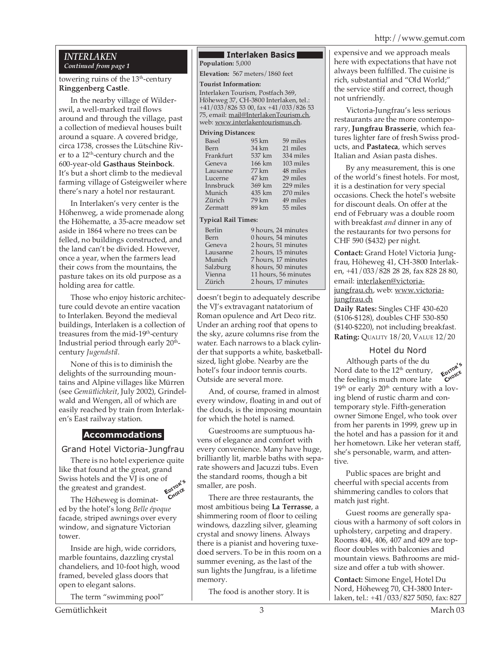#### http://www.gemut.com

### *INTERLAKEN Continued from page 1*

### towering ruins of the 13<sup>th</sup>-century **Ringgenberg Castle**.

In the nearby village of Wilderswil, a well-marked trail flows around and through the village, past a collection of medieval houses built around a square. A covered bridge, circa 1738, crosses the Lütschine River to a 12<sup>th</sup>-century church and the 600-year-old **Gasthaus Steinbock**. It's but a short climb to the medieval farming village of Gsteigweiler where there's nary a hotel nor restaurant.

In Interlaken's very center is the Höhenweg, a wide promenade along the Höhematte, a 35-acre meadow set aside in 1864 where no trees can be felled, no buildings constructed, and the land can't be divided. However, once a year, when the farmers lead their cows from the mountains, the pasture takes on its old purpose as a holding area for cattle.

Those who enjoy historic architecture could devote an entire vacation to Interlaken. Beyond the medieval buildings, Interlaken is a collection of treasures from the mid-19<sup>th</sup>-century Industrial period through early 20<sup>th</sup>century *Jugendstil*.

None of this is to diminish the delights of the surrounding mountains and Alpine villages like Mürren (see *Gemütlichkeit*, July 2002), Grindelwald and Wengen, all of which are easily reached by train from Interlaken's East railway station.

# **Accommodations**

Grand Hotel Victoria-Jungfrau

There is no hotel experience quite like that found at the great, grand Swiss hotels and the VJ is one of the greatest and grandest. **EDITOR'<sup>S</sup> CHOICE**

The Höheweg is dominated by the hotel's long *Belle époque* facade, striped awnings over every window, and signature Victorian tower.

Inside are high, wide corridors, marble fountains, dazzling crystal chandeliers, and 10-foot high, wood framed, beveled glass doors that open to elegant salons.

The term "swimming pool"

#### **Interlaken Basics Population:** 5,000

**Elevation:** 567 meters/1860 feet

#### **Tourist Information:**

Interlaken Tourism, Postfach 369, Höheweg 37, CH-3800 Interlaken, tel.: +41/033/826 53 00, fax +41/033/826 53 75, email: mail@InterlakenTourism.ch, web: www.interlakentourismus.ch.

#### **Driving Distances:**

| Basel     | 95 km  | 59 miles  |
|-----------|--------|-----------|
| Bern      | 34 km  | 21 miles  |
| Frankfurt | 537 km | 334 miles |
| Geneva    | 166 km | 103 miles |
| Lausanne  | 77 km  | 48 miles  |
| Lucerne   | 47 km  | 29 miles  |
| Innsbruck | 369 km | 229 miles |
| Munich    | 435 km | 270 miles |
| Zürich    | 79 km  | 49 miles  |
| Zermatt   | 89 km  | 55 miles  |
|           |        |           |

#### **Typical Rail Times:**

| Berlin   | 9 hours, 24 minutes  |
|----------|----------------------|
| Bern     | 0 hours, 54 minutes  |
| Geneva   | 2 hours, 51 minutes  |
| Lausanne | 2 hours, 15 minutes  |
| Munich   | 7 hours, 17 minutes  |
| Salzburg | 8 hours, 50 minutes  |
| Vienna   | 11 hours, 56 minutes |
| Zürich   | 2 hours, 17 minutes  |
|          |                      |

doesn't begin to adequately describe the VJ's extravagant natatorium of Roman opulence and Art Deco ritz. Under an arching roof that opens to the sky, azure columns rise from the water. Each narrows to a black cylinder that supports a white, basketballsized, light globe. Nearby are the hotel's four indoor tennis courts. Outside are several more.

And, of course, framed in almost every window, floating in and out of the clouds, is the imposing mountain for which the hotel is named.

Guestrooms are sumptuous havens of elegance and comfort with every convenience. Many have huge, brilliantly lit, marble baths with separate showers and Jacuzzi tubs. Even the standard rooms, though a bit smaller, are posh.

There are three restaurants, the most ambitious being **La Terrasse**, a shimmering room of floor to ceiling windows, dazzling silver, gleaming crystal and snowy linens. Always there is a pianist and hovering tuxedoed servers. To be in this room on a summer evening, as the last of the sun lights the Jungfrau, is a lifetime memory.

The food is another story. It is

expensive and we approach meals here with expectations that have not always been fulfilled. The cuisine is rich, substantial and "Old World;" the service stiff and correct, though not unfriendly.

Victoria-Jungfrau's less serious restaurants are the more contemporary, **Jungfrau Brasserie**, which features lighter fare of fresh Swiss products, and **Pastateca**, which serves Italian and Asian pasta dishes.

By any measurement, this is one of the world's finest hotels. For most, it is a destination for very special occasions. Check the hotel's website for discount deals. On offer at the end of February was a double room with breakfast *and* dinner in any of the restaurants for two persons for CHF 590 (\$432) per night.

**Contact:** Grand Hotel Victoria Jungfrau, Höheweg 41, CH-3800 Interlaken, +41/033/828 28 28, fax 828 28 80, email: interlaken@victoriajungfrau.ch, web: www.victoriajungfrau.ch

**Daily Rates:** Singles CHF 430-620 (\$106-\$128), doubles CHF 530-850 (\$140-\$220), not including breakfast. **Rating:** QUALITY 18/20, VALUE 12/20

### Hotel du Nord

Although parts of the du Nord date to the 12<sup>th</sup> century, the feeling is much more late  $19<sup>th</sup>$  or early  $20<sup>th</sup>$  century with a loving blend of rustic charm and contemporary style. Fifth-generation owner Simone Engel, who took over from her parents in 1999, grew up in the hotel and has a passion for it and her hometown. Like her veteran staff, she's personable, warm, and attentive. **EDITOR'<sup>S</sup> CHOICE**

Public spaces are bright and cheerful with special accents from shimmering candles to colors that match just right.

Guest rooms are generally spacious with a harmony of soft colors in upholstery, carpeting and drapery. Rooms 404, 406, 407 and 409 are topfloor doubles with balconies and mountain views. Bathrooms are midsize and offer a tub with shower.

**Contact:** Simone Engel, Hotel Du Nord, Höheweg 70, CH-3800 Interlaken, tel.: +41/033/827 5050, fax: 827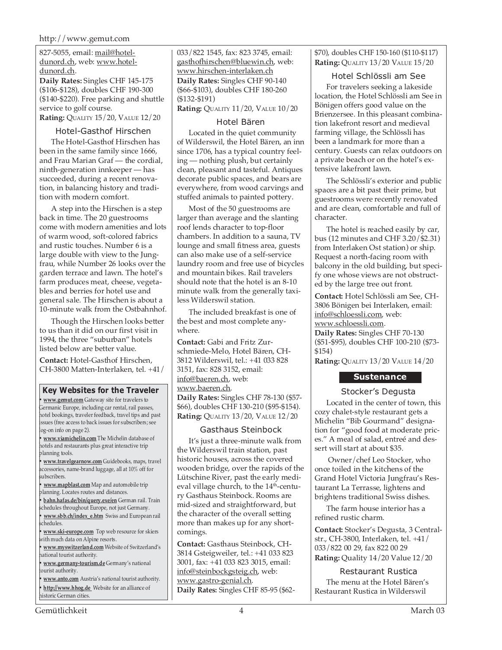### http://www.gemut.com

827-5055, email: mail@hoteldunord.ch, web: www.hoteldunord.ch.

**Daily Rates:** Singles CHF 145-175 (\$106-\$128), doubles CHF 190-300 (\$140-\$220). Free parking and shuttle service to golf course. **Rating:** QUALITY 15/20, VALUE 12/20

### Hotel-Gasthof Hirschen

The Hotel-Gasthof Hirschen has been in the same family since 1666, and Frau Marian Graf — the cordial, ninth-generation innkeeper — has succeeded, during a recent renovation, in balancing history and tradition with modern comfort.

A step into the Hirschen is a step back in time. The 20 guestrooms come with modern amenities and lots of warm wood, soft-colored fabrics and rustic touches. Number 6 is a large double with view to the Jungfrau, while Number 26 looks over the garden terrace and lawn. The hotel's farm produces meat, cheese, vegetables and berries for hotel use and general sale. The Hirschen is about a 10-minute walk from the Ostbahnhof.

Though the Hirschen looks better to us than it did on our first visit in 1994, the three "suburban" hotels listed below are better value.

**Contact:** Hotel-Gasthof Hirschen, CH-3800 Matten-Interlaken, tel. +41/

## **Key Websites for the Traveler**

**• www.gemut.com** Gateway site for travelers to Germanic Europe, including car rental, rail passes, hotel bookings, traveler feedback, travel tips and past issues (free access to back issues for subscribers; see log-on info on page 2).

**• www.viamichelin.com** The Michelin database of hotels and restaurants plus great interactive trip planning tools.

**• www.travelgearnow.com** Guidebooks, maps, travel accessories, name-brand luggage, all at 10% off for subscribers.

**• www.mapblast.com** Map and automobile trip planning. Locates routes and distances.

**• bahn.hafas.de/bin/query.exe/en** German rail. Train schedules throughout Europe, not just Germany.

**• www.sbb.ch/index\_e.htm** Swiss and European rail schedules.

**• www.ski-europe.com** Top web resource for skiers with much data on Alpine resorts.

**• www.myswitzerland.com** Website of Switzerland's national tourist authority.

**• www.germany-tourism.de** Germany's national ourist authority.

**• www.anto.com** Austria's national tourist authority. **• http://www.hhog.de** Website for an alliance of historic German cities.

033/822 1545, fax: 823 3745, email: gasthofhirschen@bluewin.ch, web: www.hirschen-interlaken.ch **Daily Rates:** Singles CHF 90-140 (\$66-\$103), doubles CHF 180-260 (\$132-\$191)

**Rating:** QUALITY 11/20, VALUE 10/20

### Hotel Bären

Located in the quiet community of Wilderswil, the Hotel Bären, an inn since 1706, has a typical country feeling — nothing plush, but certainly clean, pleasant and tasteful. Antiques decorate public spaces, and bears are everywhere, from wood carvings and stuffed animals to painted pottery.

Most of the 50 guestrooms are larger than average and the slanting roof lends character to top-floor chambers. In addition to a sauna, TV lounge and small fitness area, guests can also make use of a self-service laundry room and free use of bicycles and mountain bikes. Rail travelers should note that the hotel is an 8-10 minute walk from the generally taxiless Wilderswil station.

The included breakfast is one of the best and most complete anywhere.

**Contact:** Gabi and Fritz Zurschmiede-Melo, Hotel Bären, CH-3812 Wilderswil, tel.: +41 033 828 3151, fax: 828 3152, email: info@baeren.ch, web: www.baeren.ch. **Daily Rates:** Singles CHF 78-130 (\$57- \$66), doubles CHF 130-210 (\$95-\$154).

**Rating:** QUALITY 13/20, VALUE 12/20

### Gasthaus Steinbock

It's just a three-minute walk from the Wilderswil train station, past historic houses, across the covered wooden bridge, over the rapids of the Lütschine River, past the early medieval village church, to the 14<sup>th</sup>-century Gasthaus Steinbock. Rooms are mid-sized and straightforward, but the character of the overall setting more than makes up for any shortcomings.

**Contact:** Gasthaus Steinbock, CH-3814 Gsteigweiler, tel.: +41 033 823 3001, fax: +41 033 823 3015, email: info@steinbockgsteig.ch, web: www.gastro-genial.ch. **Daily Rates:** Singles CHF 85-95 (\$62\$70), doubles CHF 150-160 (\$110-\$117) **Rating:** QUALITY 13/20 VALUE 15/20

### Hotel Schlössli am See

For travelers seeking a lakeside location, the Hotel Schlössli am See in Bönigen offers good value on the Brienzersee. In this pleasant combination lakefront resort and medieval farming village, the Schlössli has been a landmark for more than a century. Guests can relax outdoors on a private beach or on the hotel's extensive lakefront lawn.

The Schlössli's exterior and public spaces are a bit past their prime, but guestrooms were recently renovated and are clean, comfortable and full of character.

The hotel is reached easily by car, bus (12 minutes and CHF 3.20/\$2.31) from Interlaken Ost station) or ship. Request a north-facing room with balcony in the old building, but specify one whose views are not obstructed by the large tree out front.

**Contact:** Hotel Schlössli am See, CH-3806 Bönigen bei Interlaken, email: info@schloessli.com, web: www.schloessli.com.

**Daily Rates:** Singles CHF 70-130 (\$51-\$95), doubles CHF 100-210 (\$73- \$154)

**Rating:** QUALITY 13/20 VALUE 14/20

# **Sustenance**

Stocker's Degusta

Located in the center of town, this cozy chalet-style restaurant gets a Michelin "Bib Gourmand" designation for "good food at moderate prices." A meal of salad, entreé and dessert will start at about \$35.

 Owner/chef Leo Stocker, who once toiled in the kitchens of the Grand Hotel Victoria Jungfrau's Restaurant La Terrasse, lightens and brightens traditional Swiss dishes.

The farm house interior has a refined rustic charm.

**Contact:** Stocker's Degusta, 3 Centralstr., CH-3800, Interlaken, tel. +41/ 033/822 00 29, fax 822 00 29 **Rating:** Quality 14/20 Value 12/20

Restaurant Rustica The menu at the Hotel Bären's Restaurant Rustica in Wilderswil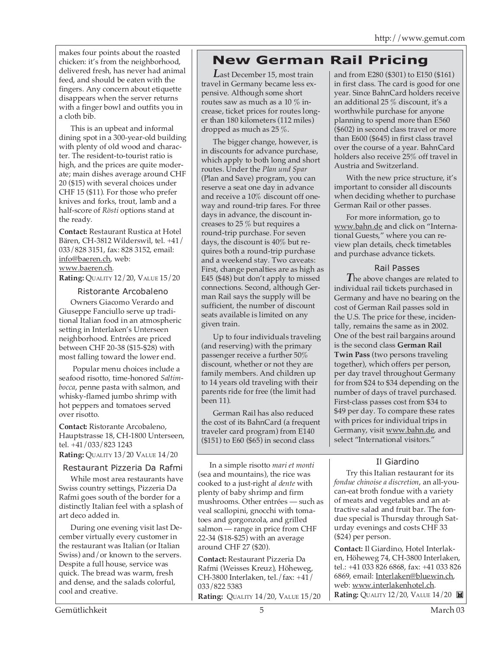makes four points about the roasted chicken: it's from the neighborhood, delivered fresh, has never had animal feed, and should be eaten with the fingers. Any concern about etiquette disappears when the server returns with a finger bowl and outfits you in a cloth bib.

This is an upbeat and informal dining spot in a 300-year-old building with plenty of old wood and character. The resident-to-tourist ratio is high, and the prices are quite moderate; main dishes average around CHF 20 (\$15) with several choices under CHF 15 (\$11). For those who prefer knives and forks, trout, lamb and a half-score of *Rösti* options stand at the ready.

**Contact:** Restaurant Rustica at Hotel Bären, CH-3812 Wilderswil, tel. +41/ 033/828 3151, fax: 828 3152, email: info@baeren.ch, web: www.baeren.ch.

**Rating:** QUALITY 12/20, VALUE 15/20

## Ristorante Arcobaleno

Owners Giacomo Verardo and Giuseppe Fanciullo serve up traditional Italian food in an atmospheric setting in Interlaken's Unterseen neighborhood. Entrées are priced between CHF 20-38 (\$15-\$28) with most falling toward the lower end.

 Popular menu choices include a seafood risotto, time-honored *Saltimbocca*, penne pasta with salmon, and whisky-flamed jumbo shrimp with hot peppers and tomatoes served over risotto.

**Contact:** Ristorante Arcobaleno, Hauptstrasse 18, CH-1800 Unterseen, tel. +41/033/823 1243 **Rating:** QUALITY 13/20 VALUE 14/20

## Restaurant Pizzeria Da Rafmi

While most area restaurants have Swiss country settings, Pizzeria Da Rafmi goes south of the border for a distinctly Italian feel with a splash of art deco added in.

During one evening visit last December virtually every customer in the restaurant was Italian (or Italian Swiss) and/or known to the servers. Despite a full house, service was quick. The bread was warm, fresh and dense, and the salads colorful, cool and creative.

# **New German Rail Pricing**

*L*ast December 15, most train travel in Germany became less expensive. Although some short routes saw as much as a 10 % increase, ticket prices for routes longer than 180 kilometers (112 miles) dropped as much as 25 %.

The bigger change, however, is in discounts for advance purchase, which apply to both long and short routes. Under the *Plan und Spar* (Plan and Save) program, you can reserve a seat one day in advance and receive a 10% discount off oneway and round-trip fares. For three days in advance, the discount increases to 25 % but requires a round-trip purchase. For seven days, the discount is 40% but requires both a round-trip purchase and a weekend stay. Two caveats: First, change penalties are as high as E45 (\$48) but don't apply to missed connections. Second, although German Rail says the supply will be sufficient, the number of discount seats available is limited on any given train.

Up to four individuals traveling (and reserving) with the primary passenger receive a further 50% discount, whether or not they are family members. And children up to 14 years old traveling with their parents ride for free (the limit had been 11).

German Rail has also reduced the cost of its BahnCard (a frequent traveler card program) from E140 (\$151) to E60 (\$65) in second class

In a simple risotto *mari et monti* (sea and mountains), the rice was cooked to a just-right *al dente* with plenty of baby shrimp and firm mushrooms. Other entrées — such as veal scallopini, gnocchi with tomatoes and gorgonzola, and grilled salmon — range in price from CHF 22-34 (\$18-\$25) with an average around CHF 27 (\$20).

**Contact:** Restaurant Pizzeria Da Rafmi (Weisses Kreuz), Höheweg, CH-3800 Interlaken, tel./fax: +41/ 033/822 5383

**Rating:** QUALITY 14/20, VALUE 15/20

and from E280 (\$301) to E150 (\$161) in first class. The card is good for one year. Since BahnCard holders receive an additional 25 % discount, it's a worthwhile purchase for anyone planning to spend more than E560 (\$602) in second class travel or more than E600 (\$645) in first class travel over the course of a year. BahnCard holders also receive 25% off travel in Austria and Switzerland.

With the new price structure, it's important to consider all discounts when deciding whether to purchase German Rail or other passes.

For more information, go to www.bahn.de and click on "International Guests," where you can review plan details, check timetables and purchase advance tickets.

### Rail Passes

*T* he above changes are related to individual rail tickets purchased in Germany and have no bearing on the cost of German Rail passes sold in the U.S. The price for these, incidentally, remains the same as in 2002. One of the best rail bargains around is the second class **German Rail Twin Pass** (two persons traveling together), which offers per person, per day travel throughout Germany for from \$24 to \$34 depending on the number of days of travel purchased. First-class passes cost from \$34 to \$49 per day. To compare these rates with prices for individual trips in Germany, visit www.bahn.de, and select "International visitors."

## Il Giardino

Try this Italian restaurant for its *fondue chinoise a discretion*, an all-youcan-eat broth fondue with a variety of meats and vegetables and an attractive salad and fruit bar. The fondue special is Thursday through Saturday evenings and costs CHF 33 (\$24) per person.

**Contact:** Il Giardino, Hotel Interlaken, Höheweg 74, CH-3800 Interlaken, tel.: +41 033 826 6868, fax: +41 033 826 6869, email: Interlaken@bluewin.ch, web: www.interlakenhotel.ch. **Rating:** QUALITY 12/20, VALUE 14/20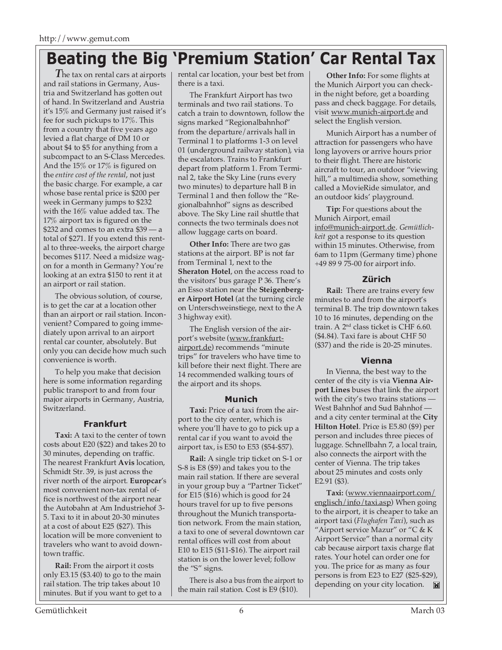# **Beating the Big 'Premium Station' Car Rental Tax**

**The tax on rental cars at airports** and rail stations in Germany, Austria and Switzerland has gotten out of hand. In Switzerland and Austria it's 15% and Germany just raised it's fee for such pickups to 17%. This from a country that five years ago levied a flat charge of DM 10 or about \$4 to \$5 for anything from a subcompact to an S-Class Mercedes. And the 15% or 17% is figured on the *entire cost of the rental*, not just the basic charge. For example, a car whose base rental price is \$200 per week in Germany jumps to \$232 with the 16% value added tax. The 17% airport tax is figured on the \$232 and comes to an extra \$39 — a total of \$271. If you extend this rental to three-weeks, the airport charge becomes \$117. Need a midsize wagon for a month in Germany? You're looking at an extra \$150 to rent it at an airport or rail station.

The obvious solution, of course, is to get the car at a location other than an airport or rail station. Inconvenient? Compared to going immediately upon arrival to an airport rental car counter, absolutely. But only you can decide how much such convenience is worth.

To help you make that decision here is some information regarding public transport to and from four major airports in Germany, Austria, Switzerland.

# **Frankfurt**

**Taxi:** A taxi to the center of town costs about E20 (\$22) and takes 20 to 30 minutes, depending on traffic. The nearest Frankfurt **Avis** location, Schmidt Str. 39, is just across the river north of the airport. **Europcar**'s most convenient non-tax rental office is northwest of the airport near the Autobahn at Am Industriehof 3- 5. Taxi to it in about 20-30 minutes at a cost of about E25 (\$27). This location will be more convenient to travelers who want to avoid downtown traffic.

**Rail:** From the airport it costs only E3.15 (\$3.40) to go to the main rail station. The trip takes about 10 minutes. But if you want to get to a rental car location, your best bet from there is a taxi.

The Frankfurt Airport has two terminals and two rail stations. To catch a train to downtown, follow the signs marked "Regionalbahnhof" from the departure/arrivals hall in Terminal 1 to platforms 1-3 on level 01 (underground railway station), via the escalators. Trains to Frankfurt depart from platform 1. From Terminal 2, take the Sky Line (runs every two minutes) to departure hall B in Terminal 1 and then follow the "Regionalbahnhof" signs as described above. The Sky Line rail shuttle that connects the two terminals does not allow luggage carts on board.

**Other Info:** There are two gas stations at the airport. BP is not far from Terminal 1, next to the **Sheraton Hotel**, on the access road to the visitors' bus garage P 36. There's an Esso station near the **Steigenberger Airport Hotel** (at the turning circle on Unterschweinstiege, next to the A 3 highway exit).

The English version of the airport's website (www.frankfurtairport.de) recommends "minute trips" for travelers who have time to kill before their next flight. There are 14 recommended walking tours of the airport and its shops.

# **Munich**

**Taxi:** Price of a taxi from the airport to the city center, which is where you'll have to go to pick up a rental car if you want to avoid the airport tax, is E50 to E53 (\$54-\$57).

**Rail:** A single trip ticket on S-1 or S-8 is E8 (\$9) and takes you to the main rail station. If there are several in your group buy a "Partner Ticket" for E15 (\$16) which is good for 24 hours travel for up to five persons throughout the Munich transportation network. From the main station, a taxi to one of several downtown car rental offices will cost from about E10 to E15 (\$11-\$16). The airport rail station is on the lower level; follow the "S" signs.

There is also a bus from the airport to the main rail station. Cost is E9 (\$10).

**Other Info:** For some flights at the Munich Airport you can checkin the night before, get a boarding pass and check baggage. For details, visit www.munich-airport.de and select the English version.

Munich Airport has a number of attraction for passengers who have long layovers or arrive hours prior to their flight. There are historic aircraft to tour, an outdoor "viewing hill," a multimedia show, something called a MovieRide simulator, and an outdoor kids' playground.

**Tip:** For questions about the Munich Airport, email info@munich-airport.de. *Gemütlichkeit* got a response to its question within 15 minutes. Otherwise, from 6am to 11pm (Germany time) phone +49 89 9 75-00 for airport info.

# **Zürich**

**Rail:** There are trains every few minutes to and from the airport's terminal B. The trip downtown takes 10 to 16 minutes, depending on the train. A 2nd class ticket is CHF 6.60. (\$4.84). Taxi fare is about CHF 50 (\$37) and the ride is 20-25 minutes.

# **Vienna**

In Vienna, the best way to the center of the city is via **Vienna Airport Lines** buses that link the airport with the city's two trains stations  $\cdot$ West Bahnhof and Sud Bahnhof and a city center terminal at the **City Hilton Hotel**. Price is E5.80 (\$9) per person and includes three pieces of luggage. Schnellbahn 7, a local train, also connects the airport with the center of Vienna. The trip takes about 25 minutes and costs only E2.91 (\$3).

**Taxi:** (www.viennaairport.com/ englisch/info/taxi.asp) When going to the airport, it is cheaper to take an airport taxi (*Flughafen Taxi*), such as "Airport service Mazur" or "C & K Airport Service" than a normal city cab because airport taxis charge flat rates. Your hotel can order one for you. The price for as many as four persons is from E23 to E27 (\$25-\$29), depending on your city location.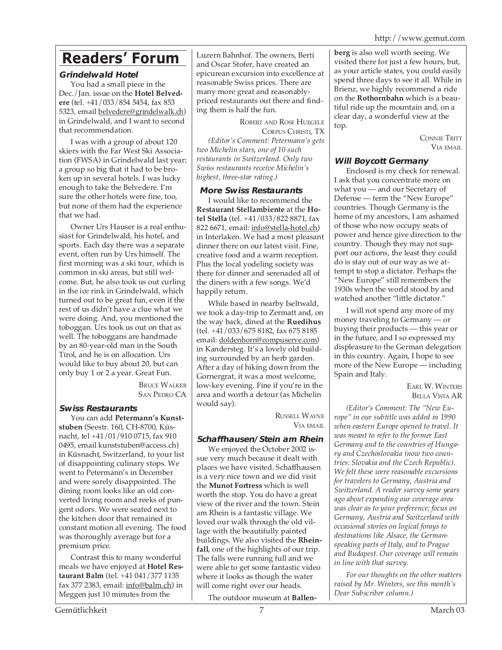# **Readers' Forum**

# **Grindelwald Hotel**

You had a small piece in the Dec./Jan. issue on the **Hotel Belvedere** (tel. +41/033/854 5454, fax 853 5323, email belvedere@grindelwalk.ch) in Grindelwald, and I want to second that recommendation.

I was with a group of about 120 skiers with the Far West Ski Association (FWSA) in Grindelwald last year; a group so big that it had to be broken up in several hotels. I was lucky enough to take the Belvedere. I'm sure the other hotels were fine, too, but none of them had the experience that we had.

Owner Urs Hauser is a real enthusiast for Grindelwald, his hotel, and sports. Each day there was a separate event, often run by Urs himself. The first morning was a ski tour, which is common in ski areas, but still welcome. But, he also took us out curling in the ice rink in Grindelwald, which turned out to be great fun, even if the rest of us didn't have a clue what we were doing. And, you mentioned the toboggan. Urs took us out on that as well. The toboggans are handmade by an 80-year-old man in the South Tirol, and he is on allocation. Urs would like to buy about 20, but can only buy 1 or 2 a year. Great Fun.

BRUCE WALKER SAN PEDRO CA

# **Swiss Restaurants**

You can add **Petermann's Kunststuben** (Seestr. 160, CH-8700, Küsnacht, tel +41/01/910 0715, fax 910 0495, email kunststuben@access.ch) in Küsnacht, Switzerland, to your list of disappointing culinary stops. We went to Petermann's in December and were sorely disappointed. The dining room looks like an old converted living room and reeks of pungent odors. We were seated next to the kitchen door that remained in constant motion all evening. The food was thoroughly average but for a premium price.

Contrast this to many wonderful meals we have enjoyed at **Hotel Restaurant Balm** (tel. +41 041/377 1135 fax 377 2383, email: info@balm.ch) in Meggen just 10 minutes from the

Luzern Bahnhof. The owners, Berti and Oscar Stofer, have created an epicurean excursion into excellence at reasonable Swiss prices. There are many more great and reasonablypriced restaurants out there and finding them is half the fun.

ROBERT AND ROSE HUEGELE CORPUS CHRISTI, TX *(Editor's Comment: Petermann's gets two Michelin stars, one of 10 such restaurants in Switzerland. Only two Swiss restaurants receive Michelin's highest, three-star rating.)*

# **More Swiss Restaurants**

I would like to recommend the **Restaurant Stellambiente** at the **Hotel Stella** (tel. +41/033/822 8871, fax 822 6671, email: info@stella-hotel.ch) in Interlaken. We had a most pleasant dinner there on our latest visit. Fine, creative food and a warm reception. Plus the local yodeling society was there for dinner and serenaded all of the diners with a few songs. We'd happily return.

While based in nearby Iseltwald, we took a day-trip to Zermatt and, on the way back, dined at the **Ruedihus** (tel. +41/033/675 8182, fax 675 8185 email: doldenhorn@compuserve.com) in Kandersteg. It's a lovely old building surrounded by an herb garden. After a day of hiking down from the Gornergrat, it was a most welcome, low-key evening. Fine if you're in the area and worth a detour (as Michelin would say).

> RUSSELL WAYNE VIA EMAIL

# **Schaffhausen/Stein am Rhein**

We enjoyed the October 2002 issue very much because it dealt with places we have visited. Schaffhausen is a very nice town and we did visit the **Munot Fortress** which is well worth the stop. You do have a great view of the river and the town. Stein am Rhein is a fantastic village. We loved our walk through the old village with the beautifully painted buildings. We also visited the **Rheinfall**, one of the highlights of our trip. The falls were running full and we were able to get some fantastic video where it looks as though the water will come right over our heads.

The outdoor museum at **Ballen-**

**berg** is also well worth seeing. We visited there for just a few hours, but, as your article states, you could easily spend three days to see it all. While in Brienz, we highly recommend a ride on the **Rothornbahn** which is a beautiful ride up the mountain and, on a clear day, a wonderful view at the top.

> CONNIE TRITT VIA EMAIL

# **Will Boycott Germany**

Enclosed is my check for renewal. I ask that you concentrate more on what you — and our Secretary of Defense — term the "New Europe" countries. Though Germany is the home of my ancestors, I am ashamed of those who now occupy seats of power and hence give direction to the country. Though they may not support our actions, the least they could do is stay out of our way as we attempt to stop a dictator. Perhaps the "New Europe" still remembers the 1930s when the world stood by and watched another "little dictator."

I will not spend any more of my money traveling to Germany — or buying their products — this year or in the future, and I so expressed my displeasure to the German delegation in this country. Again, I hope to see more of the New Europe — including Spain and Italy.

EARL W. WINTERS BELLA VISTA AR

*(Editor's Comment: The "New Europe" in our subtitle was added in 1990 when eastern Europe opened to travel. It was meant to refer to the former East Germany and to the countries of Hungary and Czechoslovakia (now two countries: Slovakia and the Czech Republic). We felt these were reasonable excursions for travelers to Germany, Austria and Switzerland. A reader survey some years ago about expanding our coverage area was clear as to your preference; focus on Germany, Austria and Switzerland with occasional stories on logical forays to destinations like Alsace, the Germanspeaking parts of Italy, and to Prague and Budapest. Our coverage will remain in line with that survey.*

*For our thoughts on the other matters raised by Mr. Winters, see this month's Dear Subscriber column.)*